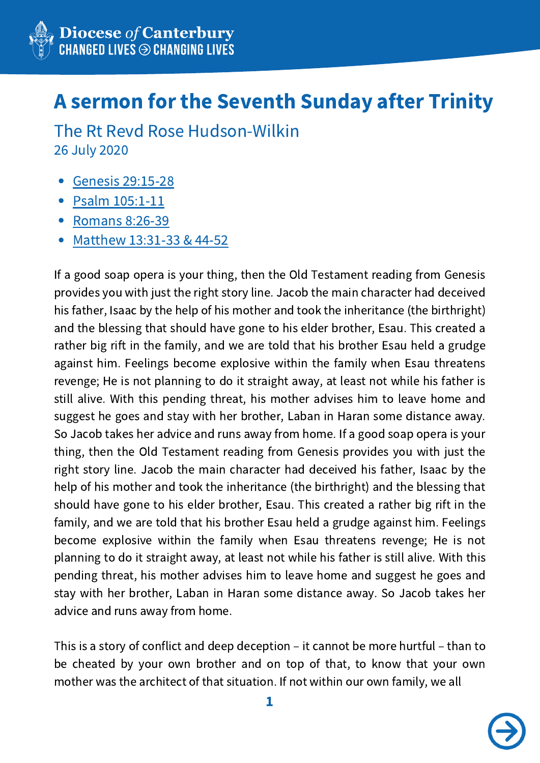

## A sermon for the Seventh Sunday after Trinity

26 July 2020 The Rt Revd Rose Hudson-Wilkin

- Genesis [29:15-28](http://bible.oremus.org/?ql=174184681)
- Psalm [105:1-11](http://bible.oremus.org/?passage=Psalm+105:1-11,45)
- [Romans](http://bible.oremus.org/?ql=174184537) 8:26-39
- [Matthew](http://bible.oremus.org/?ql=368686765) 13:31-33 & 44-52

If a good soap opera is your thing, then the Old Testament reading from Genesis provides you with just the right story line. Jacob the main character had deceived his father, Isaac by the help of his mother and took the inheritance (the birthright) and the blessing that should have gone to his elder brother, Esau. This created a rather big rift in the family, and we are told that his brother Esau held a grudge against him. Feelings become explosive within the family when Esau threatens revenge; He is not planning to do it straight away, at least not while his father is still alive. With this pending threat, his mother advises him to leave home and suggest he goes and stay with her brother, Laban in Haran some distance away. So Jacob takes her advice and runs away from home. If a good soap opera is your thing, then the Old Testament reading from Genesis provides you with just the right story line. Jacob the main character had deceived his father, Isaac by the help of his mother and took the inheritance (the birthright) and the blessing that should have gone to his elder brother, Esau. This created a rather big rift in the family, and we are told that his brother Esau held a grudge against him. Feelings become explosive within the family when Esau threatens revenge; He is not planning to do it straight away, at least not while his father is still alive. With this pending threat, his mother advises him to leave home and suggest he goes and stay with her brother, Laban in Haran some distance away. So Jacob takes her advice and runs away from home.

This is a story of conflict and deep deception – it cannot be more hurtful – than to be cheated by your own brother and on top of that, to know that your own mother was the architect of that situation. If not within our own family, we all

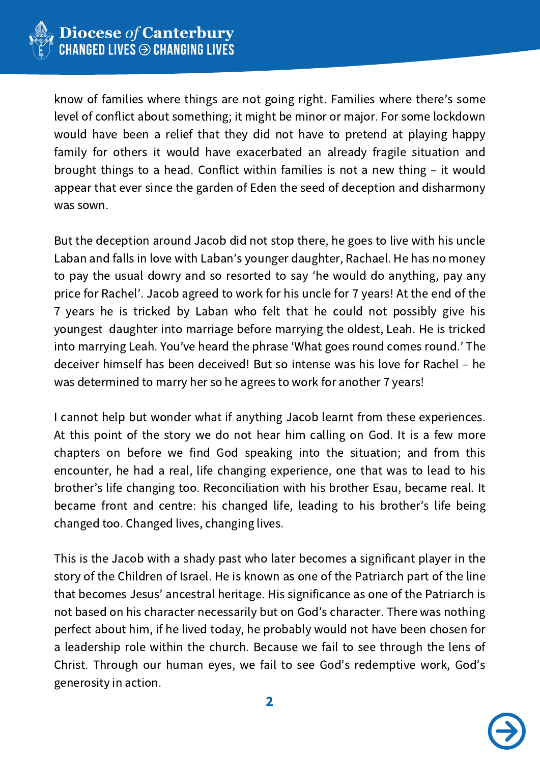

know of families where things are not going right. Families where there's some level of conflict about something; it might be minor or major. For some lockdown would have been a relief that they did not have to pretend at playing happy family for others it would have exacerbated an already fragile situation and brought things to a head. Conflict within families is not a new thing – it would appear that ever since the garden of Eden the seed of deception and disharmony was sown.

But the deception around Jacob did not stop there, he goes to live with his uncle Laban and falls in love with Laban's younger daughter, Rachael. He has no money to pay the usual dowry and so resorted to say ʻhe would do anything, pay any price for Rachel'. Jacob agreed to work for his uncle for 7 years! At the end of the 7 years he is tricked by Laban who felt that he could not possibly give his youngest daughter into marriage before marrying the oldest, Leah. He is tricked into marrying Leah. You've heard the phrase ʻWhat goes round comes round.' The deceiver himself has been deceived! But so intense was his love for Rachel – he was determined to marry her so he agrees to work for another 7 years!

I cannot help but wonder what if anything Jacob learnt from these experiences. At this point of the story we do not hear him calling on God. It is a few more chapters on before we find God speaking into the situation; and from this encounter, he had a real, life changing experience, one that was to lead to his brother's life changing too. Reconciliation with his brother Esau, became real. It became front and centre: his changed life, leading to his brother's life being changed too. Changed lives, changing lives.

This is the Jacob with a shady past who later becomes a significant player in the story of the Children of Israel. He is known as one of the Patriarch part of the line that becomes Jesus' ancestral heritage. His significance as one of the Patriarch is not based on his character necessarily but on God's character. There was nothing perfect about him, if he lived today, he probably would not have been chosen for a leadership role within the church. Because we fail to see through the lens of Christ. Through our human eyes, we fail to see God's redemptive work, God's generosity in action.

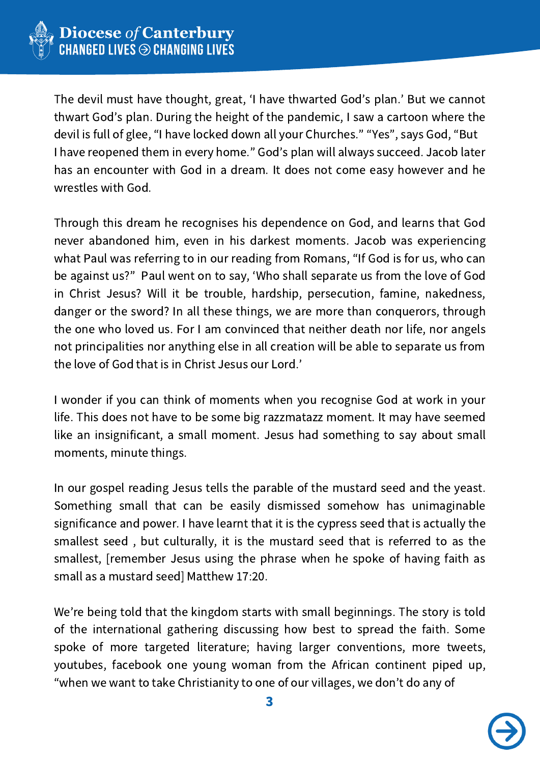

The devil must have thought, great, ʻI have thwarted God's plan.' But we cannot thwart God's plan. During the height of the pandemic, I saw a cartoon where the devil is full of glee, "I have locked down all your Churches." "Yes", says God, "But I have reopened them in every home." God's plan will always succeed. Jacob later has an encounter with God in a dream. It does not come easy however and he wrestles with God.

Through this dream he recognises his dependence on God, and learns that God never abandoned him, even in his darkest moments. Jacob was experiencing what Paul was referring to in our reading from Romans, "If God is for us, who can be against us?" Paul went on to say, ʻWho shall separate us from the love of God in Christ Jesus? Will it be trouble, hardship, persecution, famine, nakedness, danger or the sword? In all these things, we are more than conquerors, through the one who loved us. For I am convinced that neither death nor life, nor angels not principalities nor anything else in all creation will be able to separate us from the love of God that is in Christ Jesus our Lord.'

I wonder if you can think of moments when you recognise God at work in your life. This does not have to be some big razzmatazz moment. It may have seemed like an insignificant, a small moment. Jesus had something to say about small moments, minute things.

In our gospel reading Jesus tells the parable of the mustard seed and the yeast. Something small that can be easily dismissed somehow has unimaginable significance and power. I have learnt that it is the cypress seed that is actually the smallest seed , but culturally, it is the mustard seed that is referred to as the smallest, [remember Jesus using the phrase when he spoke of having faith as small as a mustard seed] Matthew 17:20.

We're being told that the kingdom starts with small beginnings. The story is told of the international gathering discussing how best to spread the faith. Some spoke of more targeted literature; having larger conventions, more tweets, youtubes, facebook one young woman from the African continent piped up, "when we want to take Christianity to one of our villages, we don't do any of

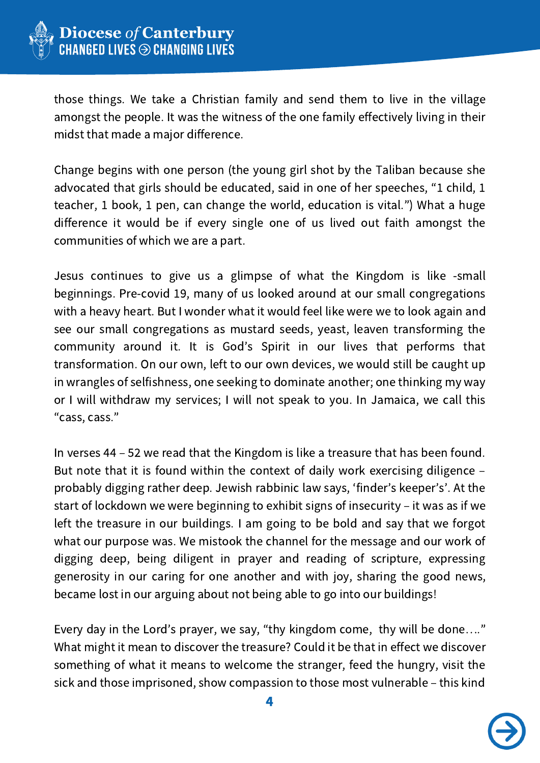

those things. We take a Christian family and send them to live in the village amongst the people. It was the witness of the one family effectively living in their midst that made a major difference.

Change begins with one person (the young girl shot by the Taliban because she advocated that girls should be educated, said in one of her speeches, "1 child, 1 teacher, 1 book, 1 pen, can change the world, education is vital.") What a huge difference it would be if every single one of us lived out faith amongst the communities of which we are a part.

Jesus continues to give us a glimpse of what the Kingdom is like -small beginnings. Pre-covid 19, many of us looked around at our small congregations with a heavy heart. But I wonder what it would feel like were we to look again and see our small congregations as mustard seeds, yeast, leaven transforming the community around it. It is God's Spirit in our lives that performs that transformation. On our own, left to our own devices, we would still be caught up in wrangles of selfishness, one seeking to dominate another; one thinking my way or I will withdraw my services; I will not speak to you. In Jamaica, we call this "cass, cass."

In verses 44 – 52 we read that the Kingdom is like a treasure that has been found. But note that it is found within the context of daily work exercising diligence – probably digging rather deep. Jewish rabbinic law says, ʻfinder's keeper's'. At the start of lockdown we were beginning to exhibit signs of insecurity – it was as if we left the treasure in our buildings. I am going to be bold and say that we forgot what our purpose was. We mistook the channel for the message and our work of digging deep, being diligent in prayer and reading of scripture, expressing generosity in our caring for one another and with joy, sharing the good news, became lost in our arguing about not being able to go into our buildings!

Every day in the Lord's prayer, we say, "thy kingdom come, thy will be done…." What might it mean to discover the treasure? Could it be that in effect we discover something of what it means to welcome the stranger, feed the hungry, visit the sick and those imprisoned, show compassion to those most vulnerable – this kind